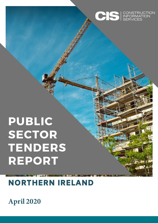## **April 2020**

## NORTHERN IRELAND

**CIS** ENFORMATION

# PUBLIC SECTOR TENDERS REPORT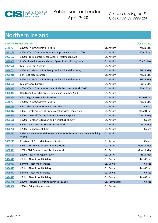

#### CIS ERVICES Public Sector Tenders April 2020

*Are you missing out? Call us [on 01 2999 200](http://www.cisireland.com)*

### Northern Ireland

|                | <b>Click to Request Details</b>                                               |               | <b>Closing Date</b> |
|----------------|-------------------------------------------------------------------------------|---------------|---------------------|
| 754070         | £200m - New Children's Hospital                                               | Co. Antrim    | Thu 21 May          |
| 1051198        | £25m - Term Contracts for Minor Improvement Works 2020                        | Co. Antrim    | Thu 18 Jun          |
| 1097562        | £300k - Term Contracts for Surface Treatments 2020                            | Co. Antrim    |                     |
| 1098862        | Prefabricated Accommodation, Dynamic Shortlisting System                      | Co. Antrim    | Tue 31 Dec          |
| 1094650        | Multi-Use Trail Network                                                       | Co. Antrim    |                     |
| 1098701        | £15m - Provision of Site, Design and Build Social Housing                     | Co. Antrim    | Fri 29 May          |
| 1099015        | Flat Roof Refurbishment                                                       | Co. Antrim    | Thu 21 May          |
| 1098701        | £15m - Provision of Site, Design and Build Social Housing                     | Co. Antrim    | Fri 29 May          |
| 1096599        | <b>Maintenance Contract</b>                                                   | Co. Antrim    | Fri 15 May          |
| 1048875        | £65m - Term Contracts for Small Scale Responsive Works 2020                   | Co. Antrim    | Thu 25 Jun          |
| 1098047        | Roads and Rivers Contracts, Spring and Summer 2020                            | Co. Antrim    |                     |
| 1098924        | £6m - High Pressure Gas Pipeline                                              | Co. Antrim    | Mon 08 Jun          |
| 754070         | £200m - New Children's Hospital                                               | Co. Antrim    | Thu 21 May          |
| 1096490        | £5m - Shared Space Development, Phase 2                                       | Co. Antrim    | Closed              |
| 1098312        | £40m - Civil Engineering Professional Services Framework                      | Co. Antrim    | Mon 01 Jun          |
| 1019625        | £700k - Coastal Walking Trail and Scenic Viewpoint                            | Co. Antrim    | Thu 14 May          |
| 1081128        | £170k - Pontoon Extension and Pier Refurbishment                              | Co. Antrim    | Closed              |
| 1096758        | £50m - Infrastructure Support Framework                                       | Co. Antrim    | Thu 14 May          |
| 1098700        | £290k - Replacement Roof                                                      | Co. Antrim    | Closed              |
| 1098517        | £28m - Preventative Maintenance, Response Maintenance Minor Building<br>Works | Co. Antrim    |                     |
| 1097213        | Provision of Pitch Maintenance Services                                       | Co. Armagh    | Closed              |
| 1062522        | £74k - DDA Extension and Ancillary Works                                      | Co. Derry     | Mon 11 May          |
| <u>1062521</u> | £63k - DDA Extension and Ancillary Works                                      | Co. Derry     | Mon 11 May          |
| 1096893        | £200k - Play Area Regeneration                                                | Co. Derry     | Fri 15 May          |
| 1034617        | £5.1m - New School Building                                                   | Co. Down      | Tue 09 Jun          |
| 1098021        | Summer Pitch Maintenance                                                      | Co. Down      | Closed              |
| 1034617        | £5.1m - New School Building                                                   | Co. Down      | Tue 09 Jun          |
| 1098021        | <b>Summer Pitch Maintenance</b>                                               | Co. Down      | Closed              |
| 1034617        | £5.1m - New School Building                                                   | Co. Down      | Tue 09 Jun          |
| 1091375        | £300k - Individual Consultant Panels (10 Lots)                                | Co. Fermanagh | Closed              |
| 1076566        | £300k - Bridge Replacement                                                    | Co. Tyrone    |                     |